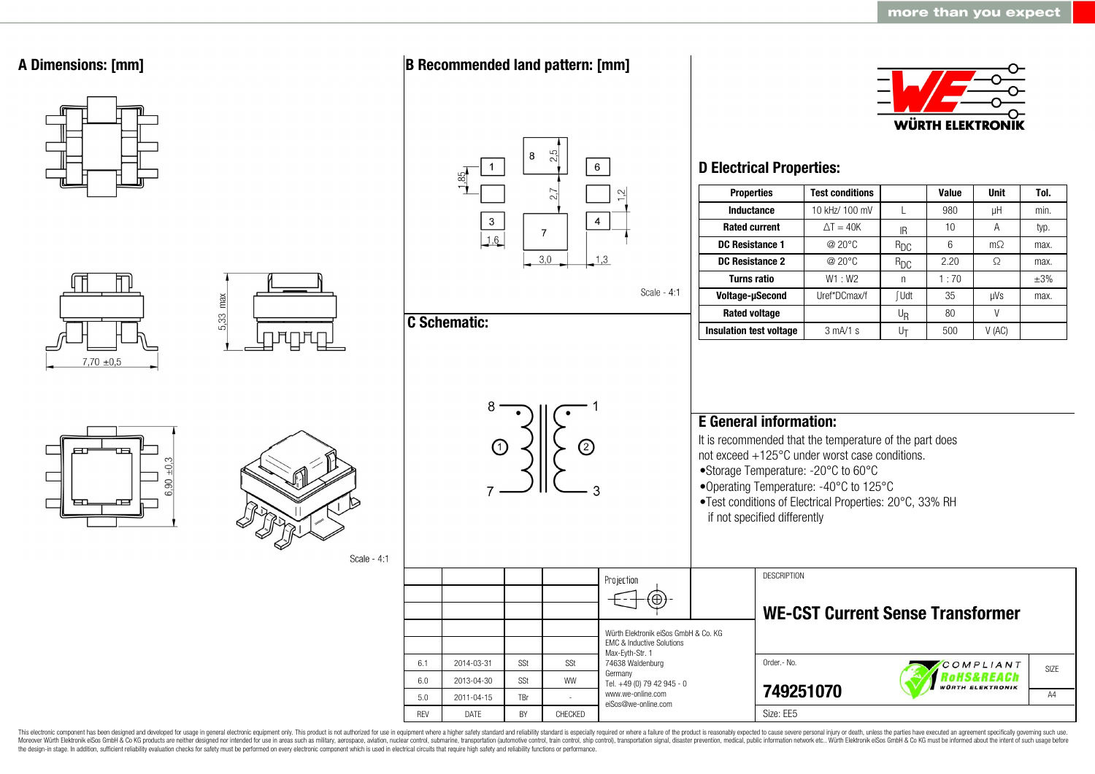

This electronic component has been designed and developed for usage in general electronic equipment only. This product is not authorized for use in equipment where a higher safety standard and reliability standard is espec Moreover Würth Elektronik eiSos GmbH & Co KG products are neither designed nor intended for use in areas such as military, aerospace, aviation, nuclear control, submarine, transportation (automotive control, ship control), the design-in stage. In addition, sufficient reliability evaluation checks for safety must be performed on every electronic component which is used in electrical circuits that require high safety and reliability functions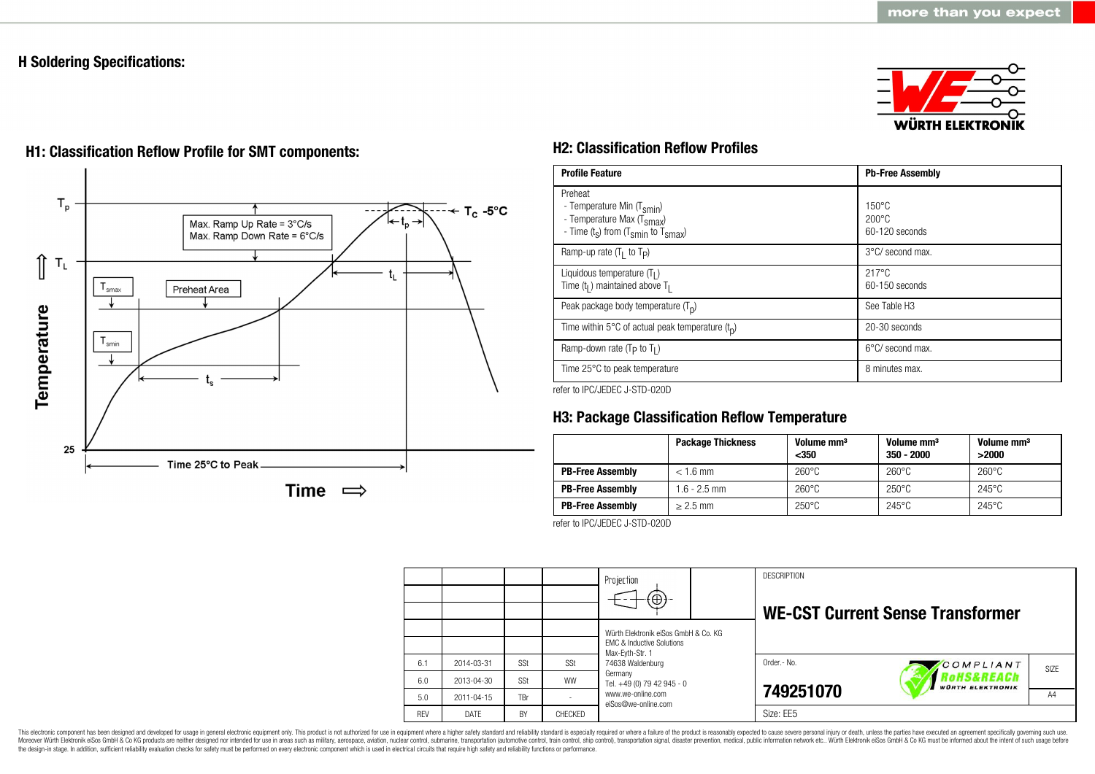# **H Soldering Specifications:**





# **H1: Classification Reflow Profile for SMT components: H2: Classification Reflow Profiles**

| <b>Profile Feature</b>                                                                                                                        | <b>Pb-Free Assembly</b>                             |  |  |
|-----------------------------------------------------------------------------------------------------------------------------------------------|-----------------------------------------------------|--|--|
| Preheat<br>- Temperature Min (T <sub>smin</sub> )<br>- Temperature Max (T <sub>Smax</sub> )<br>- Time $(t_s)$ from $(T_{smin}$ to $T_{smax})$ | $150^{\circ}$ C<br>$200\degree C$<br>60-120 seconds |  |  |
| Ramp-up rate $(T_1$ to $T_P$ )                                                                                                                | 3°C/ second max.                                    |  |  |
| Liquidous temperature $(T1)$<br>Time ( $t_1$ ) maintained above T <sub>1</sub>                                                                | $217^{\circ}$ C<br>60-150 seconds                   |  |  |
| Peak package body temperature $(Tp)$                                                                                                          | See Table H <sub>3</sub>                            |  |  |
| Time within 5°C of actual peak temperature $(t_n)$                                                                                            | 20-30 seconds                                       |  |  |
| Ramp-down rate $(T_P$ to $T_I$ )                                                                                                              | $6^{\circ}$ C/ second max.                          |  |  |
| Time 25°C to peak temperature                                                                                                                 | 8 minutes max.                                      |  |  |

refer to IPC/JEDEC J-STD-020D

# **H3: Package Classification Reflow Temperature**

|                         | <b>Package Thickness</b> | Volume mm <sup>3</sup><br>$350$ | Volume mm <sup>3</sup><br>$350 - 2000$ | Volume mm <sup>3</sup><br>>2000 |
|-------------------------|--------------------------|---------------------------------|----------------------------------------|---------------------------------|
| <b>PB-Free Assembly</b> | $< 1.6$ mm               | $260^{\circ}$ C                 | $260^{\circ}$ C                        | $260^{\circ}$ C                 |
| <b>PB-Free Assembly</b> | $1.6 - 2.5$ mm           | $260^{\circ}$ C                 | $250^{\circ}$ C                        | $245^{\circ}$ C                 |
| <b>PB-Free Assembly</b> | $> 2.5$ mm               | $250^{\circ}$ C                 | $245^{\circ}$ C                        | $245^{\circ}$ C                 |

refer to IPC/JEDEC J-STD-020D

|            |                  |            |           | Projection<br>$\Theta$                                                                                                                                                                                   |  | <b>DESCRIPTION</b> | <b>WE-CST Current Sense Transformer</b>                 |                   |
|------------|------------------|------------|-----------|----------------------------------------------------------------------------------------------------------------------------------------------------------------------------------------------------------|--|--------------------|---------------------------------------------------------|-------------------|
|            |                  |            |           | Würth Elektronik eiSos GmbH & Co. KG<br><b>EMC &amp; Inductive Solutions</b><br>Max-Eyth-Str. 1<br>74638 Waldenburg<br>Germany<br>Tel. +49 (0) 79 42 945 - 0<br>www.we-online.com<br>eiSos@we-online.com |  |                    |                                                         |                   |
| 6.1        | 2014-03-31       | SSt        | SSt       |                                                                                                                                                                                                          |  | Order - No.        | COMPLIANT                                               | SI <sub>7</sub> F |
| 6.0        | 2013-04-30       | SSt        | <b>WW</b> |                                                                                                                                                                                                          |  |                    | <i><b>?oHS&amp;REACh</b></i><br><b>WÜRTH ELEKTRONIK</b> |                   |
| 5.0        | $2011 - 04 - 15$ | <b>TBr</b> |           |                                                                                                                                                                                                          |  | 749251070          |                                                         | A4                |
| <b>RFV</b> | DATE             | BY         | CHECKED   |                                                                                                                                                                                                          |  | Size: EE5          |                                                         |                   |

This electronic component has been designed and developed for usage in general electronic equipment only. This product is not authorized for use in equipment where a higher safety standard and reliability standard is espec Moreover Würth Elektronik eiSos GmbH & Co KG products are neither designed nor intended for use in areas such as military, aerospace, aviation, nuclear control, submarine, transportation (automotive control), stain control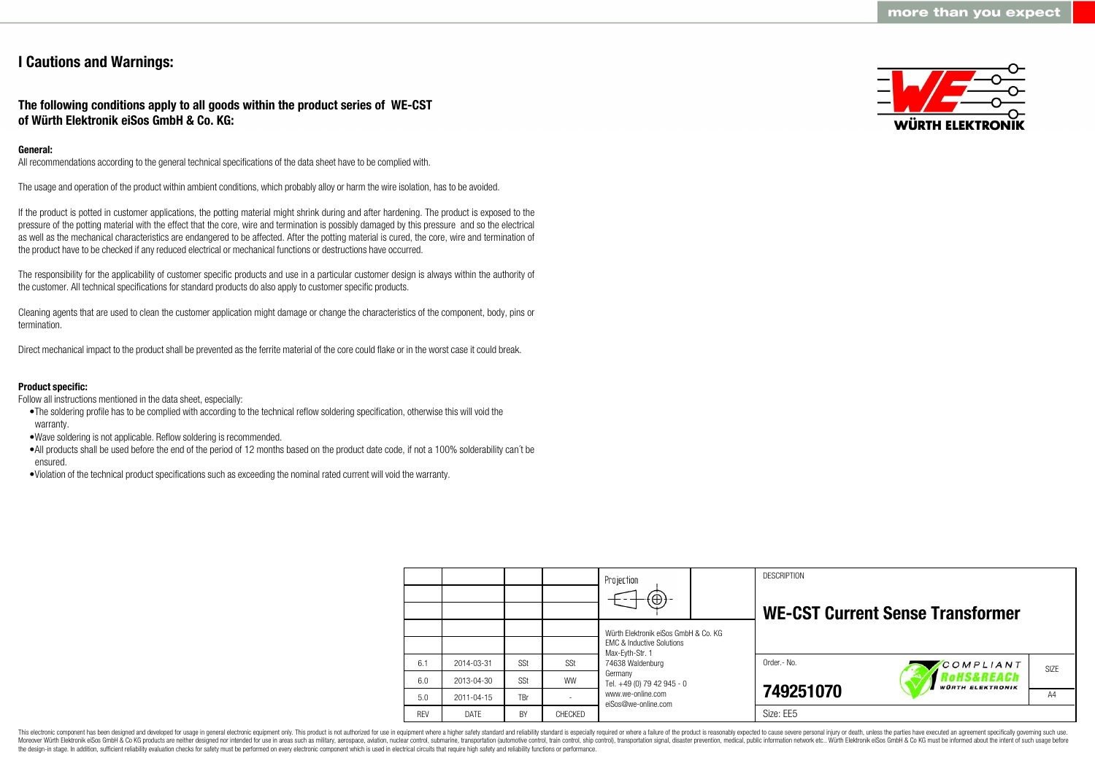# **I Cautions and Warnings:**

## **The following conditions apply to all goods within the product series of WE-CST of Würth Elektronik eiSos GmbH & Co. KG:**

## **General:**

All recommendations according to the general technical specifications of the data sheet have to be complied with.

The usage and operation of the product within ambient conditions, which probably alloy or harm the wire isolation, has to be avoided.

If the product is potted in customer applications, the potting material might shrink during and after hardening. The product is exposed to the pressure of the potting material with the effect that the core, wire and termination is possibly damaged by this pressure and so the electrical as well as the mechanical characteristics are endangered to be affected. After the potting material is cured, the core, wire and termination of the product have to be checked if any reduced electrical or mechanical functions or destructions have occurred.

The responsibility for the applicability of customer specific products and use in a particular customer design is always within the authority of the customer. All technical specifications for standard products do also apply to customer specific products.

Cleaning agents that are used to clean the customer application might damage or change the characteristics of the component, body, pins or termination.

Direct mechanical impact to the product shall be prevented as the ferrite material of the core could flake or in the worst case it could break.

## **Product specific:**

Follow all instructions mentioned in the data sheet, especially:

- •The soldering profile has to be complied with according to the technical reflow soldering specification, otherwise this will void the warranty.
- •Wave soldering is not applicable. Reflow soldering is recommended.
- •All products shall be used before the end of the period of 12 months based on the product date code, if not a 100% solderability can´t be ensured.
- •Violation of the technical product specifications such as exceeding the nominal rated current will void the warranty.

|             |            |                | Projection<br>$\left( \oplus \right)$                                        | <b>DESCRIPTION</b> | <b>WE-CST Current Sense Transformer</b> |      |
|-------------|------------|----------------|------------------------------------------------------------------------------|--------------------|-----------------------------------------|------|
|             |            |                | Würth Elektronik eiSos GmbH & Co. KG<br><b>FMC &amp; Inductive Solutions</b> |                    |                                         |      |
| 2014-03-31  | SSt        | SSt            | Max-Eyth-Str. 1<br>74638 Waldenburg                                          | Order.- No.        | COMPLIANT                               | SIZE |
| 2013-04-30  | SSt        | <b>WW</b>      | Germany<br>Tel. +49 (0) 79 42 945 - 0                                        |                    | HS&REACh<br><b>WÜRTH ELEKTRONIK</b>     |      |
| 2011-04-15  | <b>TBr</b> |                | www.we-online.com<br>eiSos@we-online.com                                     | 749251070          |                                         | A4   |
| <b>DATE</b> | <b>BY</b>  | <b>CHECKED</b> |                                                                              | Size: EE5          |                                         |      |

This electronic component has been designed and developed for usage in general electronic equipment only. This product is not authorized for use in equipment where a higher safety standard and reliability standard is espec Moreover Würth Elektronik eiSos GmbH & Co KG products are neither designed nor intended for use in areas such as military, aerospace, aviation, nuclear control, submarine, transportation (automotive control), tain control) the design-in stage. In addition, sufficient reliability evaluation checks for safety must be performed on every electronic component which is used in electrical circuits that require high safety and reliability functions

6.1 6.0 5.0 REV